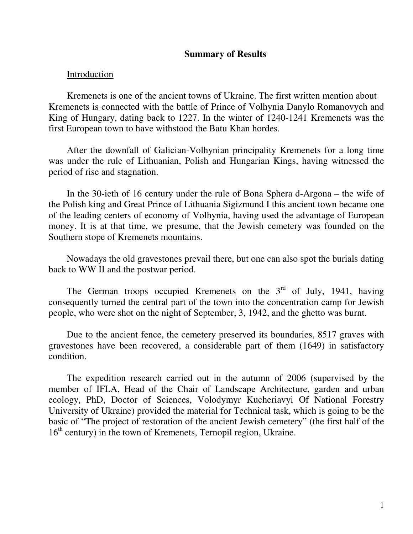#### **Summary of Results**

#### Introduction

Kremenets is one of the ancient towns of Ukraine. The first written mention about Kremenets is connected with the battle of Prince of Volhynia Danylo Romanovych and King of Hungary, dating back to 1227. In the winter of 1240-1241 Kremenets was the first European town to have withstood the Batu Khan hordes.

After the downfall of Galician-Volhynian principality Kremenets for a long time was under the rule of Lithuanian, Polish and Hungarian Kings, having witnessed the period of rise and stagnation.

In the 30-ieth of 16 century under the rule of Bona Sphera d-Argona – the wife of the Polish king and Great Prince of Lithuania Sigizmund I this ancient town became one of the leading centers of economy of Volhynia, having used the advantage of European money. It is at that time, we presume, that the Jewish cemetery was founded on the Southern stope of Kremenets mountains.

Nowadays the old gravestones prevail there, but one can also spot the burials dating back to WW II and the postwar period.

The German troops occupied Kremenets on the  $3<sup>rd</sup>$  of July, 1941, having consequently turned the central part of the town into the concentration camp for Jewish people, who were shot on the night of September, 3, 1942, and the ghetto was burnt.

Due to the ancient fence, the cemetery preserved its boundaries, 8517 graves with gravestones have been recovered, a considerable part of them (1649) in satisfactory condition.

The expedition research carried out in the autumn of 2006 (supervised by the member of IFLA, Head of the Chair of Landscape Architecture, garden and urban ecology, PhD, Doctor of Sciences, Volodymyr Kucheriavyi Of National Forestry University of Ukraine) provided the material for Technical task, which is going to be the basic of "The project of restoration of the ancient Jewish cemetery" (the first half of the 16<sup>th</sup> century) in the town of Kremenets, Ternopil region, Ukraine.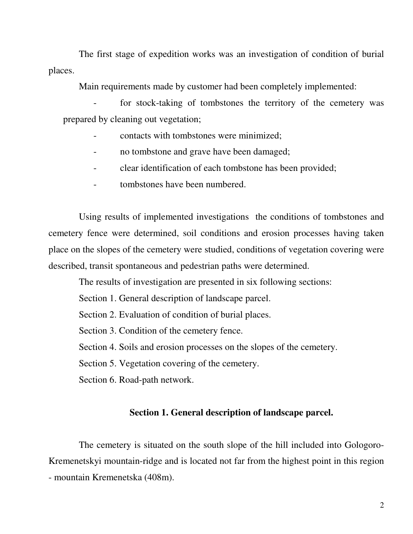The first stage of expedition works was an investigation of condition of burial places.

Main requirements made by customer had been completely implemented:

for stock-taking of tombstones the territory of the cemetery was prepared by cleaning out vegetation;

- contacts with tombstones were minimized;
- no tombstone and grave have been damaged;
- clear identification of each tombstone has been provided;
- tombstones have been numbered.

Using results of implemented investigations the conditions of tombstones and cemetery fence were determined, soil conditions and erosion processes having taken place on the slopes of the cemetery were studied, conditions of vegetation covering were described, transit spontaneous and pedestrian paths were determined.

The results of investigation are presented in six following sections:

Section 1. General description of landscape parcel.

Section 2. Evaluation of condition of burial places.

Section 3. Condition of the cemetery fence.

Section 4. Soils and erosion processes on the slopes of the cemetery.

Section 5. Vegetation covering of the cemetery.

Section 6. Road-path network.

## **Section 1. General description of landscape parcel.**

The cemetery is situated on the south slope of the hill included into Gologoro-Kremenetskyi mountain-ridge and is located not far from the highest point in this region - mountain Kremenetska (408m).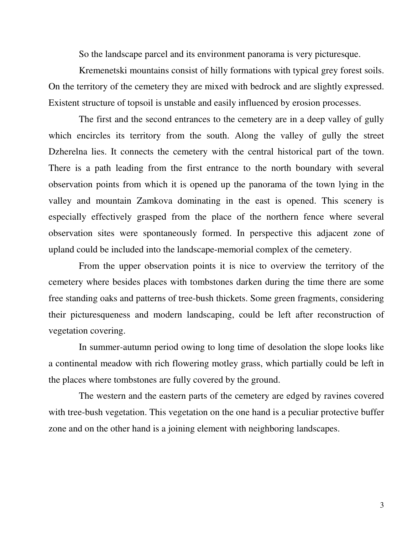So the landscape parcel and its environment panorama is very picturesque.

Kremenetski mountains consist of hilly formations with typical grey forest soils. On the territory of the cemetery they are mixed with bedrock and are slightly expressed. Existent structure of topsoil is unstable and easily influenced by erosion processes.

The first and the second entrances to the cemetery are in a deep valley of gully which encircles its territory from the south. Along the valley of gully the street Dzherelna lies. It connects the cemetery with the central historical part of the town. There is a path leading from the first entrance to the north boundary with several observation points from which it is opened up the panorama of the town lying in the valley and mountain Zamkova dominating in the east is opened. This scenery is especially effectively grasped from the place of the northern fence where several observation sites were spontaneously formed. In perspective this adjacent zone of upland could be included into the landscape-memorial complex of the cemetery.

From the upper observation points it is nice to overview the territory of the cemetery where besides places with tombstones darken during the time there are some free standing oaks and patterns of tree-bush thickets. Some green fragments, considering their picturesqueness and modern landscaping, could be left after reconstruction of vegetation covering.

In summer-autumn period owing to long time of desolation the slope looks like a continental meadow with rich flowering motley grass, which partially could be left in the places where tombstones are fully covered by the ground.

The western and the eastern parts of the cemetery are edged by ravines covered with tree-bush vegetation. This vegetation on the one hand is a peculiar protective buffer zone and on the other hand is a joining element with neighboring landscapes.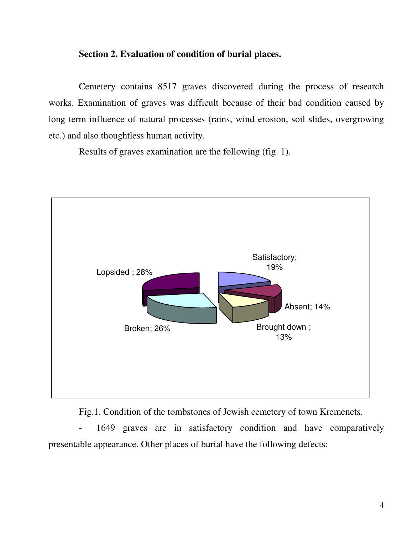#### **Section 2. Evaluation of condition of burial places.**

Cemetery contains 8517 graves discovered during the process of research works. Examination of graves was difficult because of their bad condition caused by long term influence of natural processes (rains, wind erosion, soil slides, overgrowing etc.) and also thoughtless human activity.

Results of graves examination are the following (fig. 1).



Fig.1. Condition of the tombstones of Jewish cemetery of town Kremenets.

- 1649 graves are in satisfactory condition and have comparatively presentable appearance. Other places of burial have the following defects: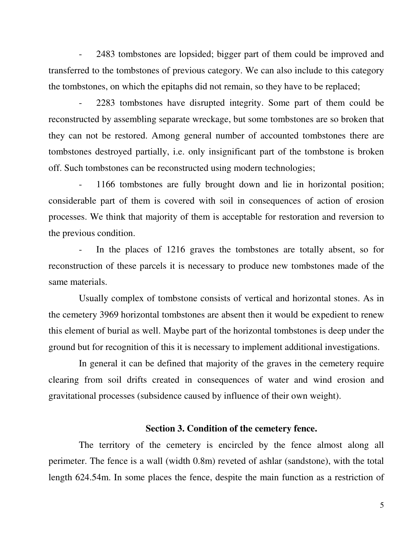- 2483 tombstones are lopsided; bigger part of them could be improved and transferred to the tombstones of previous category. We can also include to this category the tombstones, on which the epitaphs did not remain, so they have to be replaced;

- 2283 tombstones have disrupted integrity. Some part of them could be reconstructed by assembling separate wreckage, but some tombstones are so broken that they can not be restored. Among general number of accounted tombstones there are tombstones destroyed partially, i.e. only insignificant part of the tombstone is broken off. Such tombstones can be reconstructed using modern technologies;

- 1166 tombstones are fully brought down and lie in horizontal position; considerable part of them is covered with soil in consequences of action of erosion processes. We think that majority of them is acceptable for restoration and reversion to the previous condition.

In the places of 1216 graves the tombstones are totally absent, so for reconstruction of these parcels it is necessary to produce new tombstones made of the same materials.

Usually complex of tombstone consists of vertical and horizontal stones. As in the cemetery 3969 horizontal tombstones are absent then it would be expedient to renew this element of burial as well. Maybe part of the horizontal tombstones is deep under the ground but for recognition of this it is necessary to implement additional investigations.

In general it can be defined that majority of the graves in the cemetery require clearing from soil drifts created in consequences of water and wind erosion and gravitational processes (subsidence caused by influence of their own weight).

## **Section 3. Condition of the cemetery fence.**

The territory of the cemetery is encircled by the fence almost along all perimeter. The fence is a wall (width 0.8m) reveted of ashlar (sandstone), with the total length 624.54m. In some places the fence, despite the main function as a restriction of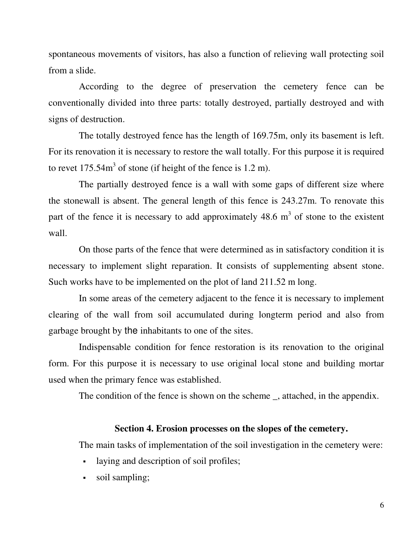spontaneous movements of visitors, has also a function of relieving wall protecting soil from a slide.

According to the degree of preservation the cemetery fence can be conventionally divided into three parts: totally destroyed, partially destroyed and with signs of destruction.

The totally destroyed fence has the length of 169.75m, only its basement is left. For its renovation it is necessary to restore the wall totally. For this purpose it is required to revet  $175.54m<sup>3</sup>$  of stone (if height of the fence is 1.2 m).

The partially destroyed fence is a wall with some gaps of different size where the stonewall is absent. The general length of this fence is 243.27m. To renovate this part of the fence it is necessary to add approximately  $48.6 \text{ m}^3$  of stone to the existent wall.

On those parts of the fence that were determined as in satisfactory condition it is necessary to implement slight reparation. It consists of supplementing absent stone. Such works have to be implemented on the plot of land 211.52 m long.

In some areas of the cemetery adjacent to the fence it is necessary to implement clearing of the wall from soil accumulated during longterm period and also from garbage brought by the inhabitants to one of the sites.

Indispensable condition for fence restoration is its renovation to the original form. For this purpose it is necessary to use original local stone and building mortar used when the primary fence was established.

The condition of the fence is shown on the scheme \_, attached, in the appendix.

## **Section 4. Erosion processes on the slopes of the cemetery.**

The main tasks of implementation of the soil investigation in the cemetery were:

- laying and description of soil profiles;
- soil sampling;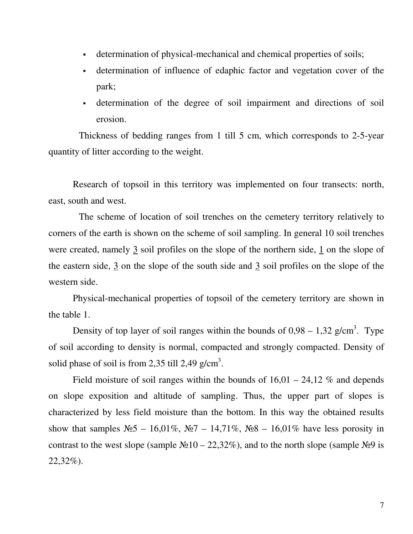- determination of physical-mechanical and chemical properties of soils;
- determination of influence of edaphic factor and vegetation cover of the park;
- determination of the degree of soil impairment and directions of soil erosion.

Thickness of bedding ranges from 1 till 5 cm, which corresponds to 2-5-year quantity of litter according to the weight.

Research of topsoil in this territory was implemented on four transects: north, east, south and west.

The scheme of location of soil trenches on the cemetery territory relatively to corners of the earth is shown on the scheme of soil sampling. In general 10 soil trenches were created, namely 3 soil profiles on the slope of the northern side, 1 on the slope of the eastern side,  $\frac{3}{2}$  on the slope of the south side and  $\frac{3}{2}$  soil profiles on the slope of the western side.

Physical-mechanical properties of topsoil of the cemetery territory are shown in the table 1.

Density of top layer of soil ranges within the bounds of  $0.98 - 1.32$  g/cm<sup>3</sup>. Type of soil according to density is normal, compacted and strongly compacted. Density of solid phase of soil is from 2,35 till 2,49 g/cm<sup>3</sup>.

Field moisture of soil ranges within the bounds of  $16,01 - 24,12$  % and depends on slope exposition and altitude of sampling. Thus, the upper part of slopes is characterized by less field moisture than the bottom. In this way the obtained results show that samples  $N_2$  – 16,01%,  $N_2$  – 14,71%,  $N_2$ 8 – 16,01% have less porosity in contrast to the west slope (sample  $\mathcal{N} \geq 10 - 22,32\%$ ), and to the north slope (sample  $\mathcal{N} \geq 9$  is 22,32%).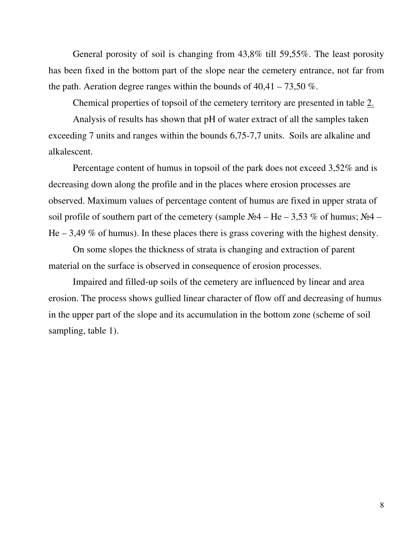General porosity of soil is changing from 43,8% till 59,55%. The least porosity has been fixed in the bottom part of the slope near the cemetery entrance, not far from the path. Aeration degree ranges within the bounds of  $40,41 - 73,50\%$ .

Chemical properties of topsoil of the cemetery territory are presented in table 2.

Analysis of results has shown that pH of water extract of all the samples taken exceeding 7 units and ranges within the bounds 6,75-7,7 units. Soils are alkaline and alkalescent.

Percentage content of humus in topsoil of the park does not exceed 3,52% and is decreasing down along the profile and in the places where erosion processes are observed. Maximum values of percentage content of humus are fixed in upper strata of soil profile of southern part of the cemetery (sample  $N_24 - He - 3.53 \%$  of humus;  $N_24 -$ He  $-3.49\%$  of humus). In these places there is grass covering with the highest density.

On some slopes the thickness of strata is changing and extraction of parent material on the surface is observed in consequence of erosion processes.

Impaired and filled-up soils of the cemetery are influenced by linear and area erosion. The process shows gullied linear character of flow off and decreasing of humus in the upper part of the slope and its accumulation in the bottom zone (scheme of soil sampling, table 1).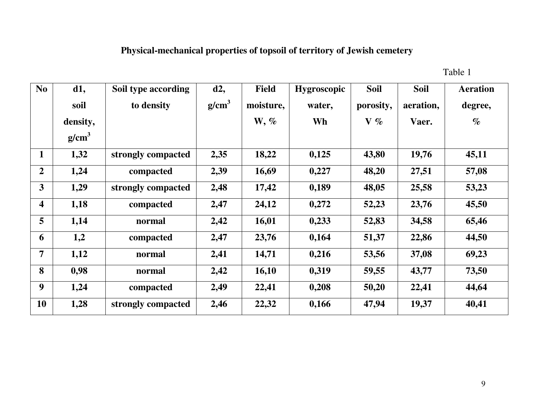# **Physical-mechanical properties of topsoil of territory of Jewish cemetery**

Table 1

| N <sub>o</sub>          | d1,               | Soil type according | d2,               | <b>Field</b> | <b>Hygroscopic</b> | <b>Soil</b> | <b>Soil</b> | <b>Aeration</b> |
|-------------------------|-------------------|---------------------|-------------------|--------------|--------------------|-------------|-------------|-----------------|
|                         | soil              | to density          | g/cm <sup>3</sup> | moisture,    | water,             | porosity,   | aeration,   | degree,         |
|                         | density,          |                     |                   | $W, \%$      | Wh                 | $V\%$       | Vaer.       | $\%$            |
|                         | g/cm <sup>3</sup> |                     |                   |              |                    |             |             |                 |
| $\mathbf{1}$            | 1,32              | strongly compacted  | 2,35              | 18,22        | 0,125              | 43,80       | 19,76       | 45,11           |
| $\overline{2}$          | 1,24              | compacted           | 2,39              | 16,69        | 0,227              | 48,20       | 27,51       | 57,08           |
| 3                       | 1,29              | strongly compacted  | 2,48              | 17,42        | 0,189              | 48,05       | 25,58       | 53,23           |
| $\overline{\mathbf{4}}$ | 1,18              | compacted           | 2,47              | 24,12        | 0,272              | 52,23       | 23,76       | 45,50           |
| 5                       | 1,14              | normal              | 2,42              | 16,01        | 0,233              | 52,83       | 34,58       | 65,46           |
| 6                       | 1,2               | compacted           | 2,47              | 23,76        | 0,164              | 51,37       | 22,86       | 44,50           |
| $\overline{7}$          | 1,12              | normal              | 2,41              | 14,71        | 0,216              | 53,56       | 37,08       | 69,23           |
| 8                       | 0,98              | normal              | 2,42              | 16,10        | 0,319              | 59,55       | 43,77       | 73,50           |
| 9                       | 1,24              | compacted           | 2,49              | 22,41        | 0,208              | 50,20       | 22,41       | 44,64           |
| <b>10</b>               | 1,28              | strongly compacted  | 2,46              | 22,32        | 0,166              | 47,94       | 19,37       | 40,41           |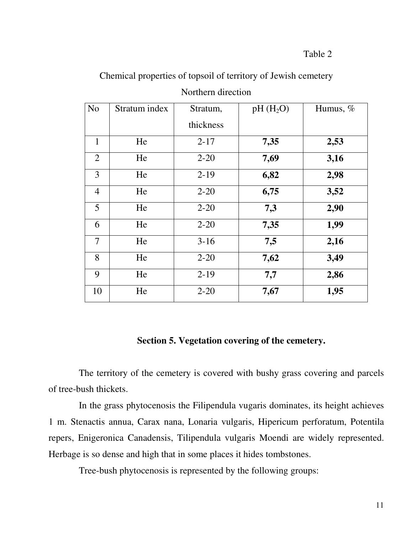| N <sub>o</sub> | Stratum index | Stratum,  | $pH(H_2O)$ | Humus, $%$ |
|----------------|---------------|-----------|------------|------------|
|                |               | thickness |            |            |
| $\mathbf{1}$   | He            | $2 - 17$  | 7,35       | 2,53       |
| 2              | He            | $2 - 20$  | 7,69       | 3,16       |
| 3              | He            | $2-19$    | 6,82       | 2,98       |
| $\overline{4}$ | He            | $2 - 20$  | 6,75       | 3,52       |
| 5              | He            | $2 - 20$  | 7,3        | 2,90       |
| 6              | He            | $2 - 20$  | 7,35       | 1,99       |
| 7              | He            | $3-16$    | 7,5        | 2,16       |
| 8              | He            | $2 - 20$  | 7,62       | 3,49       |
| 9              | He            | $2 - 19$  | 7,7        | 2,86       |
| 10             | He            | $2 - 20$  | 7,67       | 1,95       |

Chemical properties of topsoil of territory of Jewish cemetery Northern direction

#### **Section 5. Vegetation covering of the cemetery.**

The territory of the cemetery is covered with bushy grass covering and parcels of tree-bush thickets.

In the grass phytocenosis the Filipendula vugaris dominates, its height achieves 1 m. Stenactis annua, Carax nana, Lonaria vulgaris, Hipericum perforatum, Potentila repers, Enigeronica Canadensis, Tilipendula vulgaris Moendi are widely represented. Herbage is so dense and high that in some places it hides tombstones.

Tree-bush phytocenosis is represented by the following groups: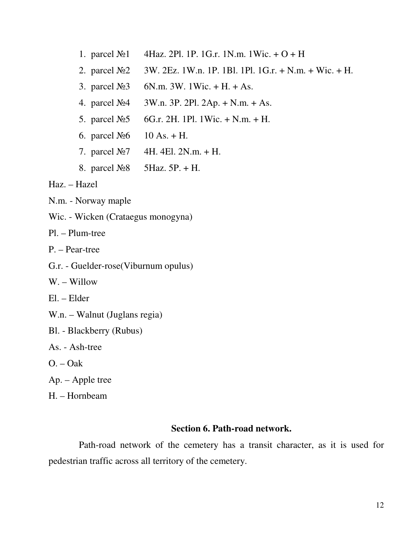- 1. parcel  $\mathcal{N}$ <sup>0</sup> 4Haz. 2Pl. 1P. 1G.r. 1N.m. 1Wic. + O + H
- 2. parcel  $\mathcal{N} \circ 2 = 3W$ . 2Ez. 1W.n. 1P. 1Bl. 1Pl. 1G.r. + N.m. + Wic. + H.
- 3. parcel  $N_2$  6N.m. 3W. 1Wic. + H. + As.
- 4. parcel  $N_24$  3W.n. 3P. 2Pl. 2Ap. + N.m. + As.
- 5. parcel  $N_2$  6G.r. 2H. 1Pl. 1Wic. + N.m. + H.
- 6. parcel  $N_2 6$  10 As. + H.
- 7. parcel  $N_2$  4H. 4El. 2N.m. + H.
- 8. parcel  $N<sub>2</sub>8$  5Haz. 5P. + H.

Haz. – Hazel

- N.m. Norway maple
- Wic. Wicken (Crataegus monogyna)

Pl. – Plum-tree

- P. Pear-tree
- G.r. Guelder-rose(Viburnum opulus)
- W. Willow
- El. Elder
- W.n. Walnut (Juglans regia)
- Bl. Blackberry (Rubus)
- As. Ash-tree
- O. Oak
- Ap. Apple tree
- H. Hornbeam

#### **Section 6. Path-road network.**

Path-road network of the cemetery has a transit character, as it is used for pedestrian traffic across all territory of the cemetery.